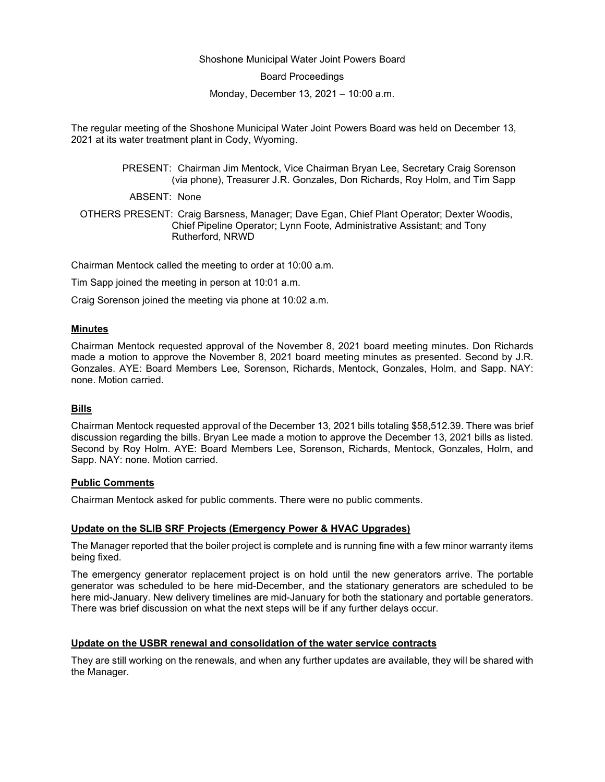### Shoshone Municipal Water Joint Powers Board

Board Proceedings

Monday, December 13, 2021 – 10:00 a.m.

The regular meeting of the Shoshone Municipal Water Joint Powers Board was held on December 13, 2021 at its water treatment plant in Cody, Wyoming.

> PRESENT: Chairman Jim Mentock, Vice Chairman Bryan Lee, Secretary Craig Sorenson (via phone), Treasurer J.R. Gonzales, Don Richards, Roy Holm, and Tim Sapp

ABSENT: None

OTHERS PRESENT: Craig Barsness, Manager; Dave Egan, Chief Plant Operator; Dexter Woodis, Chief Pipeline Operator; Lynn Foote, Administrative Assistant; and Tony Rutherford, NRWD

Chairman Mentock called the meeting to order at 10:00 a.m.

Tim Sapp joined the meeting in person at 10:01 a.m.

Craig Sorenson joined the meeting via phone at 10:02 a.m.

### **Minutes**

Chairman Mentock requested approval of the November 8, 2021 board meeting minutes. Don Richards made a motion to approve the November 8, 2021 board meeting minutes as presented. Second by J.R. Gonzales. AYE: Board Members Lee, Sorenson, Richards, Mentock, Gonzales, Holm, and Sapp. NAY: none. Motion carried.

#### **Bills**

Chairman Mentock requested approval of the December 13, 2021 bills totaling \$58,512.39. There was brief discussion regarding the bills. Bryan Lee made a motion to approve the December 13, 2021 bills as listed. Second by Roy Holm. AYE: Board Members Lee, Sorenson, Richards, Mentock, Gonzales, Holm, and Sapp. NAY: none. Motion carried.

### **Public Comments**

Chairman Mentock asked for public comments. There were no public comments.

## **Update on the SLIB SRF Projects (Emergency Power & HVAC Upgrades)**

The Manager reported that the boiler project is complete and is running fine with a few minor warranty items being fixed.

The emergency generator replacement project is on hold until the new generators arrive. The portable generator was scheduled to be here mid-December, and the stationary generators are scheduled to be here mid-January. New delivery timelines are mid-January for both the stationary and portable generators. There was brief discussion on what the next steps will be if any further delays occur.

## **Update on the USBR renewal and consolidation of the water service contracts**

They are still working on the renewals, and when any further updates are available, they will be shared with the Manager.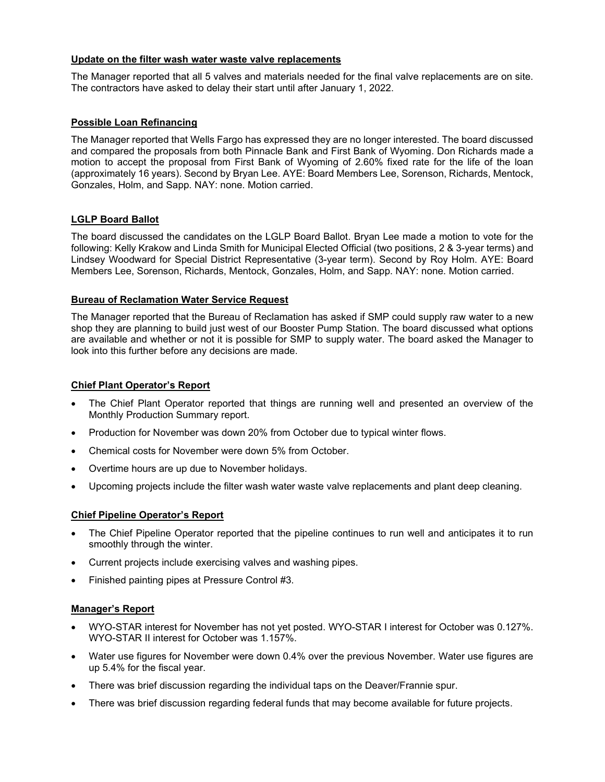### **Update on the filter wash water waste valve replacements**

The Manager reported that all 5 valves and materials needed for the final valve replacements are on site. The contractors have asked to delay their start until after January 1, 2022.

## **Possible Loan Refinancing**

The Manager reported that Wells Fargo has expressed they are no longer interested. The board discussed and compared the proposals from both Pinnacle Bank and First Bank of Wyoming. Don Richards made a motion to accept the proposal from First Bank of Wyoming of 2.60% fixed rate for the life of the loan (approximately 16 years). Second by Bryan Lee. AYE: Board Members Lee, Sorenson, Richards, Mentock, Gonzales, Holm, and Sapp. NAY: none. Motion carried.

## **LGLP Board Ballot**

The board discussed the candidates on the LGLP Board Ballot. Bryan Lee made a motion to vote for the following: Kelly Krakow and Linda Smith for Municipal Elected Official (two positions, 2 & 3-year terms) and Lindsey Woodward for Special District Representative (3-year term). Second by Roy Holm. AYE: Board Members Lee, Sorenson, Richards, Mentock, Gonzales, Holm, and Sapp. NAY: none. Motion carried.

## **Bureau of Reclamation Water Service Request**

The Manager reported that the Bureau of Reclamation has asked if SMP could supply raw water to a new shop they are planning to build just west of our Booster Pump Station. The board discussed what options are available and whether or not it is possible for SMP to supply water. The board asked the Manager to look into this further before any decisions are made.

## **Chief Plant Operator's Report**

- The Chief Plant Operator reported that things are running well and presented an overview of the Monthly Production Summary report.
- Production for November was down 20% from October due to typical winter flows.
- Chemical costs for November were down 5% from October.
- Overtime hours are up due to November holidays.
- Upcoming projects include the filter wash water waste valve replacements and plant deep cleaning.

# **Chief Pipeline Operator's Report**

- The Chief Pipeline Operator reported that the pipeline continues to run well and anticipates it to run smoothly through the winter.
- Current projects include exercising valves and washing pipes.
- Finished painting pipes at Pressure Control #3.

## **Manager's Report**

- WYO-STAR interest for November has not yet posted. WYO-STAR I interest for October was 0.127%. WYO-STAR II interest for October was 1.157%.
- Water use figures for November were down 0.4% over the previous November. Water use figures are up 5.4% for the fiscal year.
- There was brief discussion regarding the individual taps on the Deaver/Frannie spur.
- There was brief discussion regarding federal funds that may become available for future projects.